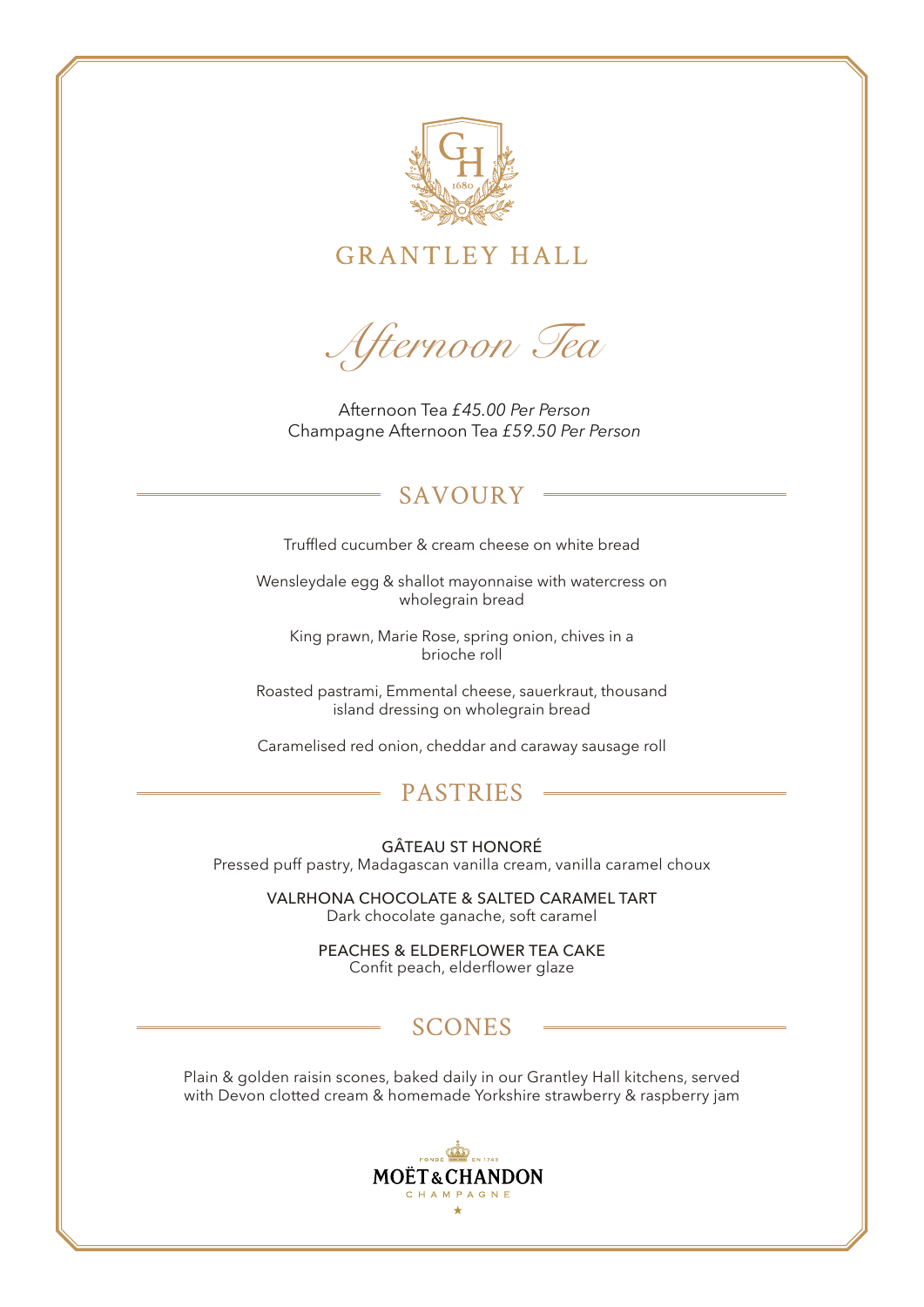

**GRANTLEY HALL** 

*Afternoon Tea*

Afternoon Tea *£45.00 Per Person*  Champagne Afternoon Tea *£59.50 Per Person*

# SAVOURY

Truffled cucumber & cream cheese on white bread

Wensleydale egg & shallot mayonnaise with watercress on wholegrain bread

King prawn, Marie Rose, spring onion, chives in a brioche roll

Roasted pastrami, Emmental cheese, sauerkraut, thousand island dressing on wholegrain bread

Caramelised red onion, cheddar and caraway sausage roll

# PASTRIES

GÂTEAU ST HONORÉ Pressed puff pastry, Madagascan vanilla cream, vanilla caramel choux

> VALRHONA CHOCOLATE & SALTED CARAMEL TART Dark chocolate ganache, soft caramel

> > PEACHES & ELDERFLOWER TEA CAKE Confit peach, elderflower glaze

# SCONES

Plain & golden raisin scones, baked daily in our Grantley Hall kitchens, served with Devon clotted cream & homemade Yorkshire strawberry & raspberry jam